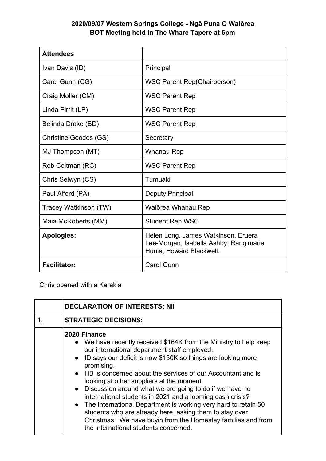## **2020/09/07 Western Springs College - Ngā Puna O Waiōrea BOT Meeting held In The Whare Tapere at 6pm**

| <b>Attendees</b>             |                                                                                                           |
|------------------------------|-----------------------------------------------------------------------------------------------------------|
| Ivan Davis (ID)              | Principal                                                                                                 |
| Carol Gunn (CG)              | <b>WSC Parent Rep(Chairperson)</b>                                                                        |
| Craig Moller (CM)            | <b>WSC Parent Rep</b>                                                                                     |
| Linda Pirrit (LP)            | <b>WSC Parent Rep</b>                                                                                     |
| Belinda Drake (BD)           | <b>WSC Parent Rep</b>                                                                                     |
| <b>Christine Goodes (GS)</b> | Secretary                                                                                                 |
| MJ Thompson (MT)             | Whanau Rep                                                                                                |
| Rob Coltman (RC)             | <b>WSC Parent Rep</b>                                                                                     |
| Chris Selwyn (CS)            | Tumuaki                                                                                                   |
| Paul Alford (PA)             | <b>Deputy Principal</b>                                                                                   |
| Tracey Watkinson (TW)        | Waiōrea Whanau Rep                                                                                        |
| Maia McRoberts (MM)          | <b>Student Rep WSC</b>                                                                                    |
| <b>Apologies:</b>            | Helen Long, James Watkinson, Eruera<br>Lee-Morgan, Isabella Ashby, Rangimarie<br>Hunia, Howard Blackwell. |
| <b>Facilitator:</b>          | <b>Carol Gunn</b>                                                                                         |

Chris opened with a Karakia

| <b>DECLARATION OF INTERESTS: Nil</b>                                                                                                                                                                                                                                                                                                                                                                                                                                                                                                                                                                                                                                                                         |
|--------------------------------------------------------------------------------------------------------------------------------------------------------------------------------------------------------------------------------------------------------------------------------------------------------------------------------------------------------------------------------------------------------------------------------------------------------------------------------------------------------------------------------------------------------------------------------------------------------------------------------------------------------------------------------------------------------------|
| <b>STRATEGIC DECISIONS:</b>                                                                                                                                                                                                                                                                                                                                                                                                                                                                                                                                                                                                                                                                                  |
| 2020 Finance<br>• We have recently received \$164K from the Ministry to help keep<br>our international department staff employed.<br>• ID says our deficit is now \$130K so things are looking more<br>promising.<br>• HB is concerned about the services of our Accountant and is<br>looking at other suppliers at the moment.<br>• Discussion around what we are going to do if we have no<br>international students in 2021 and a looming cash crisis?<br>The International Department is working very hard to retain 50<br>$\bullet$<br>students who are already here, asking them to stay over<br>Christmas. We have buyin from the Homestay families and from<br>the international students concerned. |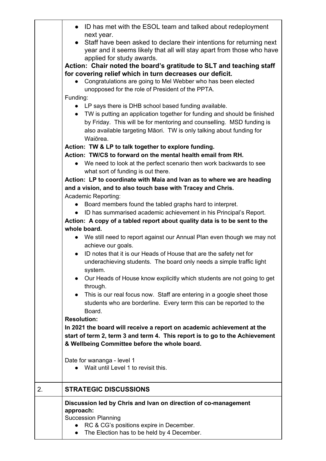|    | • ID has met with the ESOL team and talked about redeployment<br>next year.<br>• Staff have been asked to declare their intentions for returning next<br>year and it seems likely that all will stay apart from those who have<br>applied for study awards.<br>Action: Chair noted the board's gratitude to SLT and teaching staff<br>for covering relief which in turn decreases our deficit.<br>Congratulations are going to Mel Webber who has been elected<br>unopposed for the role of President of the PPTA.<br>Funding:<br>• LP says there is DHB school based funding available.<br>• TW is putting an application together for funding and should be finished<br>by Friday. This will be for mentoring and counselling. MSD funding is<br>also available targeting Māori. TW is only talking about funding for<br>Waiōrea. |  |  |
|----|-------------------------------------------------------------------------------------------------------------------------------------------------------------------------------------------------------------------------------------------------------------------------------------------------------------------------------------------------------------------------------------------------------------------------------------------------------------------------------------------------------------------------------------------------------------------------------------------------------------------------------------------------------------------------------------------------------------------------------------------------------------------------------------------------------------------------------------|--|--|
|    | Action: TW & LP to talk together to explore funding.                                                                                                                                                                                                                                                                                                                                                                                                                                                                                                                                                                                                                                                                                                                                                                                |  |  |
|    | Action: TW/CS to forward on the mental health email from RH.                                                                                                                                                                                                                                                                                                                                                                                                                                                                                                                                                                                                                                                                                                                                                                        |  |  |
|    | • We need to look at the perfect scenario then work backwards to see                                                                                                                                                                                                                                                                                                                                                                                                                                                                                                                                                                                                                                                                                                                                                                |  |  |
|    | what sort of funding is out there.                                                                                                                                                                                                                                                                                                                                                                                                                                                                                                                                                                                                                                                                                                                                                                                                  |  |  |
|    | Action: LP to coordinate with Maia and Ivan as to where we are heading                                                                                                                                                                                                                                                                                                                                                                                                                                                                                                                                                                                                                                                                                                                                                              |  |  |
|    | and a vision, and to also touch base with Tracey and Chris.                                                                                                                                                                                                                                                                                                                                                                                                                                                                                                                                                                                                                                                                                                                                                                         |  |  |
|    | Academic Reporting:                                                                                                                                                                                                                                                                                                                                                                                                                                                                                                                                                                                                                                                                                                                                                                                                                 |  |  |
|    | Board members found the tabled graphs hard to interpret.<br>$\bullet$                                                                                                                                                                                                                                                                                                                                                                                                                                                                                                                                                                                                                                                                                                                                                               |  |  |
|    | ID has summarised academic achievement in his Principal's Report.<br>$\bullet$                                                                                                                                                                                                                                                                                                                                                                                                                                                                                                                                                                                                                                                                                                                                                      |  |  |
|    | Action: A copy of a tabled report about quality data is to be sent to the<br>whole board.                                                                                                                                                                                                                                                                                                                                                                                                                                                                                                                                                                                                                                                                                                                                           |  |  |
|    | • We still need to report against our Annual Plan even though we may not                                                                                                                                                                                                                                                                                                                                                                                                                                                                                                                                                                                                                                                                                                                                                            |  |  |
|    | achieve our goals.                                                                                                                                                                                                                                                                                                                                                                                                                                                                                                                                                                                                                                                                                                                                                                                                                  |  |  |
|    | ID notes that it is our Heads of House that are the safety net for<br>$\bullet$                                                                                                                                                                                                                                                                                                                                                                                                                                                                                                                                                                                                                                                                                                                                                     |  |  |
|    | underachieving students. The board only needs a simple traffic light<br>system.                                                                                                                                                                                                                                                                                                                                                                                                                                                                                                                                                                                                                                                                                                                                                     |  |  |
|    | Our Heads of House know explicitly which students are not going to get                                                                                                                                                                                                                                                                                                                                                                                                                                                                                                                                                                                                                                                                                                                                                              |  |  |
|    | through.                                                                                                                                                                                                                                                                                                                                                                                                                                                                                                                                                                                                                                                                                                                                                                                                                            |  |  |
|    | This is our real focus now. Staff are entering in a google sheet those<br>$\bullet$                                                                                                                                                                                                                                                                                                                                                                                                                                                                                                                                                                                                                                                                                                                                                 |  |  |
|    | students who are borderline. Every term this can be reported to the                                                                                                                                                                                                                                                                                                                                                                                                                                                                                                                                                                                                                                                                                                                                                                 |  |  |
|    | Board.                                                                                                                                                                                                                                                                                                                                                                                                                                                                                                                                                                                                                                                                                                                                                                                                                              |  |  |
|    | <b>Resolution:</b>                                                                                                                                                                                                                                                                                                                                                                                                                                                                                                                                                                                                                                                                                                                                                                                                                  |  |  |
|    | In 2021 the board will receive a report on academic achievement at the                                                                                                                                                                                                                                                                                                                                                                                                                                                                                                                                                                                                                                                                                                                                                              |  |  |
|    | start of term 2, term 3 and term 4. This report is to go to the Achievement                                                                                                                                                                                                                                                                                                                                                                                                                                                                                                                                                                                                                                                                                                                                                         |  |  |
|    | & Wellbeing Committee before the whole board.                                                                                                                                                                                                                                                                                                                                                                                                                                                                                                                                                                                                                                                                                                                                                                                       |  |  |
|    | Date for wananga - level 1                                                                                                                                                                                                                                                                                                                                                                                                                                                                                                                                                                                                                                                                                                                                                                                                          |  |  |
|    | Wait until Level 1 to revisit this.                                                                                                                                                                                                                                                                                                                                                                                                                                                                                                                                                                                                                                                                                                                                                                                                 |  |  |
|    |                                                                                                                                                                                                                                                                                                                                                                                                                                                                                                                                                                                                                                                                                                                                                                                                                                     |  |  |
| 2. | <b>STRATEGIC DISCUSSIONS</b>                                                                                                                                                                                                                                                                                                                                                                                                                                                                                                                                                                                                                                                                                                                                                                                                        |  |  |
|    | Discussion led by Chris and Ivan on direction of co-management                                                                                                                                                                                                                                                                                                                                                                                                                                                                                                                                                                                                                                                                                                                                                                      |  |  |
|    | approach:                                                                                                                                                                                                                                                                                                                                                                                                                                                                                                                                                                                                                                                                                                                                                                                                                           |  |  |
|    | <b>Succession Planning</b>                                                                                                                                                                                                                                                                                                                                                                                                                                                                                                                                                                                                                                                                                                                                                                                                          |  |  |
|    | RC & CG's positions expire in December.                                                                                                                                                                                                                                                                                                                                                                                                                                                                                                                                                                                                                                                                                                                                                                                             |  |  |
|    | The Election has to be held by 4 December.<br>$\bullet$                                                                                                                                                                                                                                                                                                                                                                                                                                                                                                                                                                                                                                                                                                                                                                             |  |  |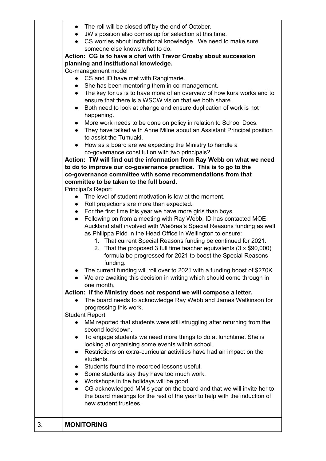|           | The roll will be closed off by the end of October.<br>$\bullet$<br>JW's position also comes up for selection at this time.<br>CS worries about institutional knowledge. We need to make sure<br>someone else knows what to do.<br>Action: CG is to have a chat with Trevor Crosby about succession                                                                                                                            |
|-----------|-------------------------------------------------------------------------------------------------------------------------------------------------------------------------------------------------------------------------------------------------------------------------------------------------------------------------------------------------------------------------------------------------------------------------------|
|           | planning and institutional knowledge.                                                                                                                                                                                                                                                                                                                                                                                         |
|           | Co-management model                                                                                                                                                                                                                                                                                                                                                                                                           |
|           | CS and ID have met with Rangimarie.<br>$\bullet$                                                                                                                                                                                                                                                                                                                                                                              |
|           | She has been mentoring them in co-management.<br>$\bullet$                                                                                                                                                                                                                                                                                                                                                                    |
|           | The key for us is to have more of an overview of how kura works and to<br>ensure that there is a WSCW vision that we both share.                                                                                                                                                                                                                                                                                              |
|           | Both need to look at change and ensure duplication of work is not                                                                                                                                                                                                                                                                                                                                                             |
| $\bullet$ | happening.                                                                                                                                                                                                                                                                                                                                                                                                                    |
|           | More work needs to be done on policy in relation to School Docs.<br>$\bullet$                                                                                                                                                                                                                                                                                                                                                 |
|           | They have talked with Anne Milne about an Assistant Principal position                                                                                                                                                                                                                                                                                                                                                        |
|           | to assist the Tumuaki.                                                                                                                                                                                                                                                                                                                                                                                                        |
| $\bullet$ | How as a board are we expecting the Ministry to handle a                                                                                                                                                                                                                                                                                                                                                                      |
|           | co-governance constitution with two principals?                                                                                                                                                                                                                                                                                                                                                                               |
|           | Action: TW will find out the information from Ray Webb on what we need                                                                                                                                                                                                                                                                                                                                                        |
|           | to do to improve our co-governance practice. This is to go to the                                                                                                                                                                                                                                                                                                                                                             |
|           | co-governance committee with some recommendations from that                                                                                                                                                                                                                                                                                                                                                                   |
|           | committee to be taken to the full board.                                                                                                                                                                                                                                                                                                                                                                                      |
|           | Principal's Report                                                                                                                                                                                                                                                                                                                                                                                                            |
|           | The level of student motivation is low at the moment.<br>$\bullet$                                                                                                                                                                                                                                                                                                                                                            |
|           | Roll projections are more than expected.<br>$\bullet$                                                                                                                                                                                                                                                                                                                                                                         |
|           | For the first time this year we have more girls than boys.                                                                                                                                                                                                                                                                                                                                                                    |
| $\bullet$ | Following on from a meeting with Ray Webb, ID has contacted MOE<br>Auckland staff involved with Waiorea's Special Reasons funding as well<br>as Philippa Pidd in the Head Office in Wellington to ensure:<br>1. That current Special Reasons funding be continued for 2021.<br>2. That the proposed 3 full time teacher equivalents (3 x \$90,000)<br>formula be progressed for 2021 to boost the Special Reasons<br>funding. |
|           | The current funding will roll over to 2021 with a funding boost of \$270K<br>We are awaiting this decision in writing which should come through in                                                                                                                                                                                                                                                                            |
|           | one month.                                                                                                                                                                                                                                                                                                                                                                                                                    |
|           | Action: If the Ministry does not respond we will compose a letter.                                                                                                                                                                                                                                                                                                                                                            |
|           | The board needs to acknowledge Ray Webb and James Watkinson for                                                                                                                                                                                                                                                                                                                                                               |
|           | progressing this work.<br><b>Student Report</b>                                                                                                                                                                                                                                                                                                                                                                               |
|           | MM reported that students were still struggling after returning from the                                                                                                                                                                                                                                                                                                                                                      |
|           | second lockdown.                                                                                                                                                                                                                                                                                                                                                                                                              |
| $\bullet$ | To engage students we need more things to do at lunchtime. She is                                                                                                                                                                                                                                                                                                                                                             |
|           | looking at organising some events within school.                                                                                                                                                                                                                                                                                                                                                                              |
| $\bullet$ | Restrictions on extra-curricular activities have had an impact on the                                                                                                                                                                                                                                                                                                                                                         |
|           | students.                                                                                                                                                                                                                                                                                                                                                                                                                     |
| $\bullet$ | Students found the recorded lessons useful.                                                                                                                                                                                                                                                                                                                                                                                   |
| $\bullet$ | Some students say they have too much work.                                                                                                                                                                                                                                                                                                                                                                                    |
| $\bullet$ | Workshops in the holidays will be good.                                                                                                                                                                                                                                                                                                                                                                                       |
| $\bullet$ | CG acknowledged MM's year on the board and that we will invite her to<br>the board meetings for the rest of the year to help with the induction of<br>new student trustees.                                                                                                                                                                                                                                                   |
|           | <b>MONITORING</b>                                                                                                                                                                                                                                                                                                                                                                                                             |